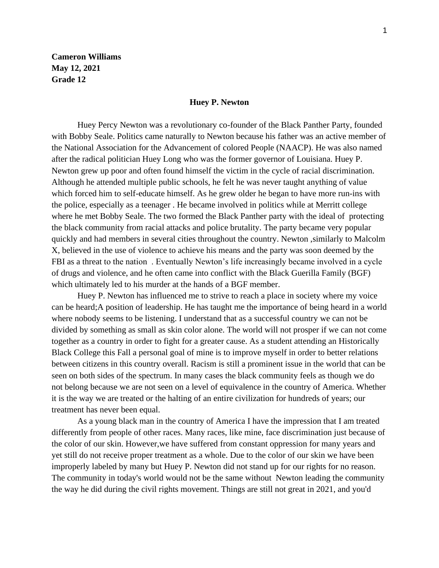**Cameron Williams May 12, 2021 Grade 12**

## **Huey P. Newton**

Huey Percy Newton was a revolutionary co-founder of the Black Panther Party, founded with Bobby Seale. Politics came naturally to Newton because his father was an active member of the National Association for the Advancement of colored People (NAACP). He was also named after the radical politician Huey Long who was the former governor of Louisiana. Huey P. Newton grew up poor and often found himself the victim in the cycle of racial discrimination. Although he attended multiple public schools, he felt he was never taught anything of value which forced him to self-educate himself. As he grew older he began to have more run-ins with the police, especially as a teenager . He became involved in politics while at Merritt college where he met Bobby Seale. The two formed the Black Panther party with the ideal of protecting the black community from racial attacks and police brutality. The party became very popular quickly and had members in several cities throughout the country. Newton ,similarly to Malcolm X, believed in the use of violence to achieve his means and the party was soon deemed by the FBI as a threat to the nation . Eventually Newton's life increasingly became involved in a cycle of drugs and violence, and he often came into conflict with the Black Guerilla Family (BGF) which ultimately led to his murder at the hands of a BGF member.

Huey P. Newton has influenced me to strive to reach a place in society where my voice can be heard;A position of leadership. He has taught me the importance of being heard in a world where nobody seems to be listening. I understand that as a successful country we can not be divided by something as small as skin color alone. The world will not prosper if we can not come together as a country in order to fight for a greater cause. As a student attending an Historically Black College this Fall a personal goal of mine is to improve myself in order to better relations between citizens in this country overall. Racism is still a prominent issue in the world that can be seen on both sides of the spectrum. In many cases the black community feels as though we do not belong because we are not seen on a level of equivalence in the country of America. Whether it is the way we are treated or the halting of an entire civilization for hundreds of years; our treatment has never been equal.

As a young black man in the country of America I have the impression that I am treated differently from people of other races. Many races, like mine, face discrimination just because of the color of our skin. However,we have suffered from constant oppression for many years and yet still do not receive proper treatment as a whole. Due to the color of our skin we have been improperly labeled by many but Huey P. Newton did not stand up for our rights for no reason. The community in today's world would not be the same without Newton leading the community the way he did during the civil rights movement. Things are still not great in 2021, and you'd